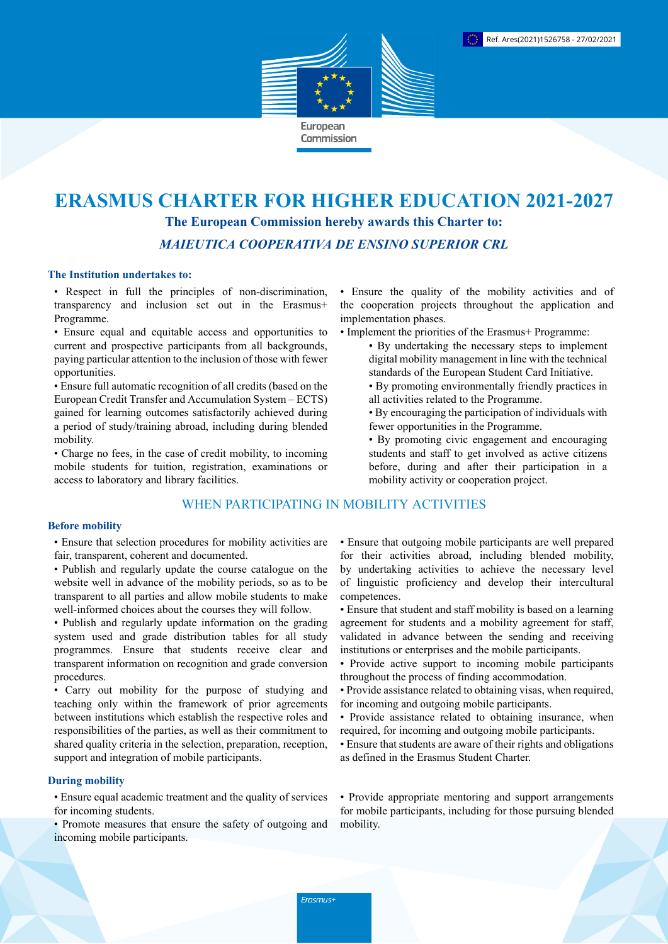

# **ERASMUS CHARTER FOR HIGHER EDUCATION 2021-2027 The European Commission hereby awards this Charter to:** *MAIEUTICA COOPERATIVA DE ENSINO SUPERIOR CRL*

## **The Institution undertakes to:**

• Respect in full the principles of non-discrimination, transparency and inclusion set out in the Erasmus+ Programme.

• Ensure equal and equitable access and opportunities to current and prospective participants from all backgrounds, paying particular attention to the inclusion of those with fewer opportunities.

• Ensure full automatic recognition of all credits (based on the European Credit Transfer and Accumulation System – ECTS) gained for learning outcomes satisfactorily achieved during a period of study/training abroad, including during blended mobility.

• Charge no fees, in the case of credit mobility, to incoming mobile students for tuition, registration, examinations or access to laboratory and library facilities.

## WHEN PARTICIPATING IN MOBILITY ACTIVITIES

## **Before mobility**

• Ensure that selection procedures for mobility activities are fair, transparent, coherent and documented.

- Publish and regularly update the course catalogue on the website well in advance of the mobility periods, so as to be transparent to all parties and allow mobile students to make well-informed choices about the courses they will follow.
- Publish and regularly update information on the grading system used and grade distribution tables for all study programmes. Ensure that students receive clear and transparent information on recognition and grade conversion procedures.

• Carry out mobility for the purpose of studying and teaching only within the framework of prior agreements between institutions which establish the respective roles and responsibilities of the parties, as well as their commitment to shared quality criteria in the selection, preparation, reception, support and integration of mobile participants.

## **During mobility**

• Ensure equal academic treatment and the quality of services for incoming students.

• Promote measures that ensure the safety of outgoing and incoming mobile participants.

• Ensure the quality of the mobility activities and of the cooperation projects throughout the application and implementation phases.

- Implement the priorities of the Erasmus+ Programme:
	- By undertaking the necessary steps to implement digital mobility management in line with the technical standards of the European Student Card Initiative.
	- By promoting environmentally friendly practices in all activities related to the Programme.
	- By encouraging the participation of individuals with fewer opportunities in the Programme.
	- By promoting civic engagement and encouraging students and staff to get involved as active citizens before, during and after their participation in a mobility activity or cooperation project.

• Ensure that outgoing mobile participants are well prepared for their activities abroad, including blended mobility, by undertaking activities to achieve the necessary level of linguistic proficiency and develop their intercultural competences.

- Ensure that student and staff mobility is based on a learning agreement for students and a mobility agreement for staff, validated in advance between the sending and receiving institutions or enterprises and the mobile participants.
- Provide active support to incoming mobile participants throughout the process of finding accommodation.
- Provide assistance related to obtaining visas, when required, for incoming and outgoing mobile participants.
- Provide assistance related to obtaining insurance, when required, for incoming and outgoing mobile participants.
- Ensure that students are aware of their rights and obligations as defined in the Erasmus Student Charter.

• Provide appropriate mentoring and support arrangements for mobile participants, including for those pursuing blended mobility.

Erasmus+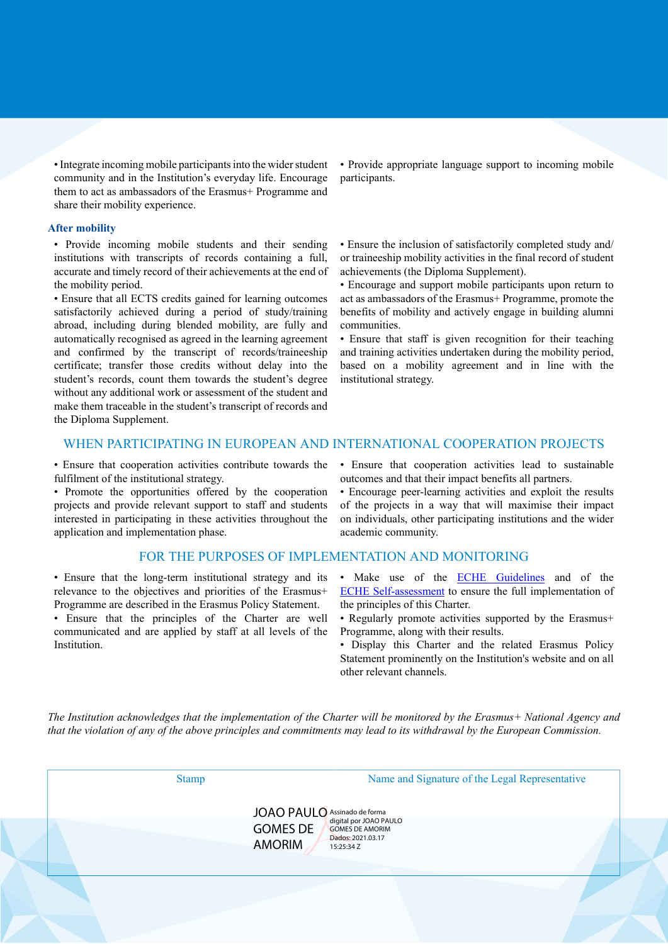• Integrate incoming mobile participants into the wider student community and in the Institution's everyday life. Encourage them to act as ambassadors of the Erasmus+ Programme and share their mobility experience.

### **After mobility**

• Provide incoming mobile students and their sending institutions with transcripts of records containing a full, accurate and timely record of their achievements at the end of the mobility period.

• Ensure that all ECTS credits gained for learning outcomes satisfactorily achieved during a period of study/training abroad, including during blended mobility, are fully and automatically recognised as agreed in the learning agreement and confirmed by the transcript of records/traineeship certificate; transfer those credits without delay into the student's records, count them towards the student's degree without any additional work or assessment of the student and make them traceable in the student's transcript of records and the Diploma Supplement.

• Provide appropriate language support to incoming mobile participants.

• Ensure the inclusion of satisfactorily completed study and/ or traineeship mobility activities in the final record of student achievements (the Diploma Supplement).

• Encourage and support mobile participants upon return to act as ambassadors of the Erasmus+ Programme, promote the benefits of mobility and actively engage in building alumni communities.

• Ensure that staff is given recognition for their teaching and training activities undertaken during the mobility period, based on a mobility agreement and in line with the institutional strategy.

## WHEN PARTICIPATING IN EUROPEAN AND INTERNATIONAL COOPERATION PROJECTS

• Ensure that cooperation activities contribute towards the fulfilment of the institutional strategy.

• Promote the opportunities offered by the cooperation projects and provide relevant support to staff and students interested in participating in these activities throughout the application and implementation phase.

## FOR THE PURPOSES OF IMPLEMENTATION AND MONITORING

• Ensure that the long-term institutional strategy and its relevance to the objectives and priorities of the Erasmus+ Programme are described in the Erasmus Policy Statement.

• Ensure that the principles of the Charter are well communicated and are applied by staff at all levels of the Institution.

• Ensure that cooperation activities lead to sustainable outcomes and that their impact benefits all partners.

• Encourage peer-learning activities and exploit the results of the projects in a way that will maximise their impact on individuals, other participating institutions and the wider academic community.

- Make use of the **ECHE Guidelines** and of the [ECHE Self-assessment](https://ec.europa.eu/programmes/erasmus-plus/eche/start_en) to ensure the full implementation of the principles of this Charter.
- Regularly promote activities supported by the Erasmus+ Programme, along with their results.
- Display this Charter and the related Erasmus Policy Statement prominently on the Institution's website and on all other relevant channels.

The Institution acknowledges that the implementation of the Charter will be monitored by the Erasmus+ National Agency and that the violation of any of the above principles and commitments may lead to its withdrawal by the European Commission.

| <b>Stamp</b> | Name and Signature of the Legal Representative                                                |
|--------------|-----------------------------------------------------------------------------------------------|
|              | JOAO PAULO Assinado de forma                                                                  |
|              | <b>GOMES DE</b><br><b>GOMES DE AMORIM</b><br>Dados: 2021.03.17<br><b>AMORIM</b><br>15:25:34 Z |
|              |                                                                                               |
|              |                                                                                               |